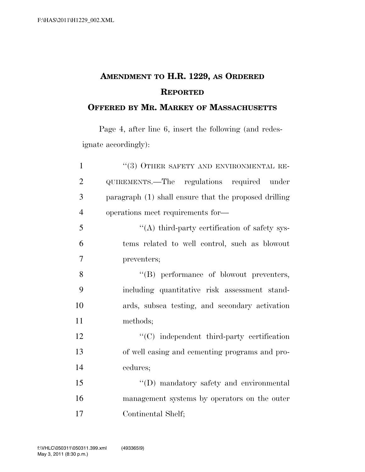## **AMENDMENT TO H.R. 1229, AS ORDERED REPORTED**

## **OFFERED BY MR. MARKEY OF MASSACHUSETTS**

Page 4, after line 6, insert the following (and redesignate accordingly):

| $\mathbf{1}$   | $``(3)$ OTHER SAFETY AND ENVIRONMENTAL RE-            |
|----------------|-------------------------------------------------------|
| $\overline{2}$ | QUIREMENTS.—The regulations required under            |
| 3              | paragraph (1) shall ensure that the proposed drilling |
| $\overline{4}$ | operations meet requirements for-                     |
| 5              | "(A) third-party certification of safety sys-         |
| 6              | tems related to well control, such as blowout         |
| $\tau$         | preventers;                                           |
| 8              | "(B) performance of blowout preventers,               |
| 9              | including quantitative risk assessment stand-         |
| 10             | ards, subsea testing, and secondary activation        |
| 11             | methods;                                              |
| 12             | $\lq\lq$ independent third-party certification        |
| 13             | of well casing and cementing programs and pro-        |
| 14             | cedures;                                              |
| 15             | "(D) mandatory safety and environmental               |
| 16             | management systems by operators on the outer          |
| 17             | Continental Shelf;                                    |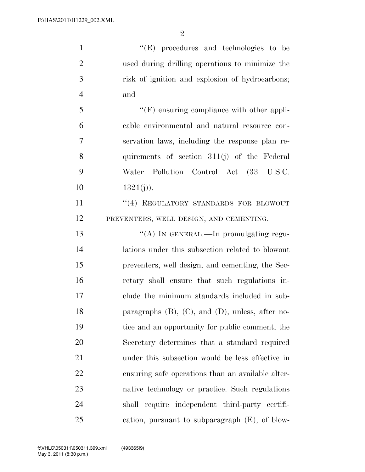''(E) procedures and technologies to be used during drilling operations to minimize the risk of ignition and explosion of hydrocarbons; and ''(F) ensuring compliance with other appli- cable environmental and natural resource con- servation laws, including the response plan re- quirements of section 311(j) of the Federal Water Pollution Control Act (33 U.S.C. 10 1321(j)). 11 ''(4) REGULATORY STANDARDS FOR BLOWOUT PREVENTERS, WELL DESIGN, AND CEMENTING.— 13 "(A) In GENERAL.—In promulgating regu- lations under this subsection related to blowout preventers, well design, and cementing, the Sec- retary shall ensure that such regulations in- clude the minimum standards included in sub- paragraphs (B), (C), and (D), unless, after no- tice and an opportunity for public comment, the Secretary determines that a standard required under this subsection would be less effective in ensuring safe operations than an available alter- native technology or practice. Such regulations shall require independent third-party certifi-cation, pursuant to subparagraph (E), of blow-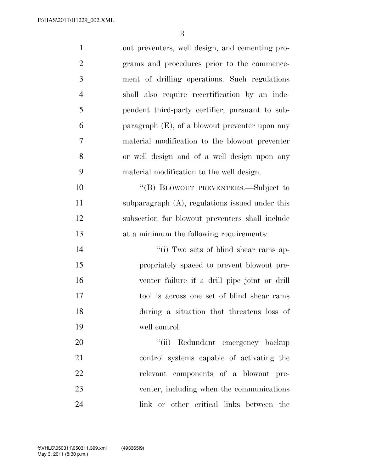| $\mathbf{1}$   | out preventers, well design, and cementing pro-   |
|----------------|---------------------------------------------------|
| $\overline{2}$ | grams and procedures prior to the commence-       |
| 3              | ment of drilling operations. Such regulations     |
| $\overline{4}$ | shall also require recertification by an inde-    |
| 5              | pendent third-party certifier, pursuant to sub-   |
| 6              | paragraph $(E)$ , of a blowout preventer upon any |
| 7              | material modification to the blowout preventer    |
| 8              | or well design and of a well design upon any      |
| 9              | material modification to the well design.         |
| 10             | "(B) BLOWOUT PREVENTERS.—Subject to               |
| 11             | subparagraph (A), regulations issued under this   |
| 12             | subsection for blowout preventers shall include   |
| 13             | at a minimum the following requirements:          |
| 14             | "(i) Two sets of blind shear rams ap-             |
| 15             | propriately spaced to prevent blowout pre-        |
| 16             | venter failure if a drill pipe joint or drill     |
|                |                                                   |
| 17             | tool is across one set of blind shear rams        |
| 18             | during a situation that threatens loss of         |
| 19             | well control.                                     |
| 20             | "(ii) Redundant emergency backup                  |
| 21             | control systems capable of activating the         |
| 22             | relevant components of a blowout pre-             |
| 23             | venter, including when the communications         |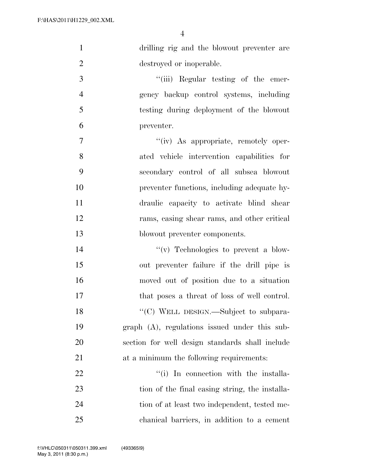| 1              | drilling rig and the blowout preventer are         |
|----------------|----------------------------------------------------|
| $\mathbf{2}$   | destroyed or inoperable.                           |
| 3              | "(iii) Regular testing of the emer-                |
| $\overline{4}$ | gency backup control systems, including            |
| 5              | testing during deployment of the blowout           |
| 6              | preventer.                                         |
| $\tau$         | "(iv) As appropriate, remotely oper-               |
| 8              | ated vehicle intervention capabilities for         |
| 9              | secondary control of all subsea blowout            |
| 10             | preventer functions, including adequate hy-        |
| 11             | draulic capacity to activate blind shear           |
| 12             | rams, casing shear rams, and other critical        |
| 13             | blowout preventer components.                      |
| 14             | $\lq\lq$ Technologies to prevent a blow-           |
| 15             | out preventer failure if the drill pipe is         |
| 16             | moved out of position due to a situation           |
| 17             | that poses a threat of loss of well control.       |
| 18             | "(C) WELL DESIGN.—Subject to subpara-              |
| 19             | $graph$ $(A)$ , regulations issued under this sub- |
| 20             | section for well design standards shall include    |
| 21             | at a minimum the following requirements:           |
| 22             | "(i) In connection with the installa-              |
| 23             | tion of the final casing string, the installa-     |
| 24             | tion of at least two independent, tested me-       |
| 25             | chanical barriers, in addition to a cement         |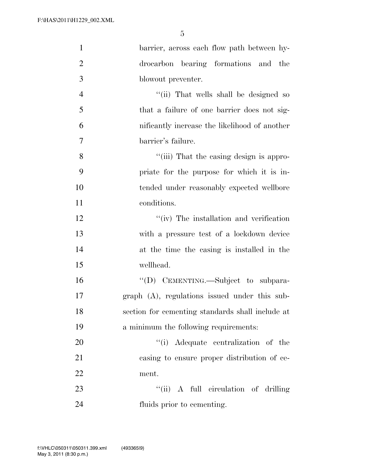| $\mathbf{1}$   | barrier, across each flow path between hy-         |
|----------------|----------------------------------------------------|
| $\overline{2}$ | drocarbon bearing formations and<br>the            |
| 3              | blowout preventer.                                 |
| $\overline{4}$ | "(ii) That wells shall be designed so              |
| 5              | that a failure of one barrier does not sig-        |
| 6              | nificantly increase the likelihood of another      |
| $\overline{7}$ | barrier's failure.                                 |
| $8\,$          | "(iii) That the casing design is appro-            |
| 9              | priate for the purpose for which it is in-         |
| 10             | tended under reasonably expected wellbore          |
| 11             | conditions.                                        |
| 12             | $\lq\lq$ (iv) The installation and verification    |
| 13             | with a pressure test of a lockdown device          |
| 14             | at the time the casing is installed in the         |
| 15             | wellhead.                                          |
| 16             | "(D) CEMENTING.—Subject to subpara-                |
| 17             | $graph$ $(A)$ , regulations issued under this sub- |
| 18             | section for cementing standards shall include at   |
| 19             | a minimum the following requirements:              |
| 20             | "(i) Adequate centralization of the                |
| 21             | casing to ensure proper distribution of ce-        |
| 22             | ment.                                              |
| 23             | "(ii) A full circulation of drilling               |
| 24             | fluids prior to cementing.                         |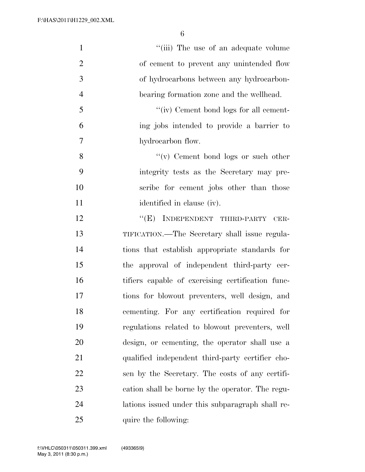| $\mathbf{1}$   | "(iii) The use of an adequate volume              |
|----------------|---------------------------------------------------|
| $\overline{2}$ | of cement to prevent any unintended flow          |
| 3              | of hydrocarbons between any hydrocarbon-          |
| $\overline{4}$ | bearing formation zone and the wellhead.          |
| 5              | "(iv) Cement bond logs for all cement-            |
| 6              | ing jobs intended to provide a barrier to         |
| 7              | hydrocarbon flow.                                 |
| 8              | $f'(v)$ Cement bond logs or such other            |
| 9              | integrity tests as the Secretary may pre-         |
| 10             | scribe for cement jobs other than those           |
| 11             | identified in clause (iv).                        |
| 12             | "(E) INDEPENDENT THIRD-PARTY CER-                 |
| 13             | TIFICATION.—The Secretary shall issue regula-     |
| 14             | tions that establish appropriate standards for    |
| 15             | the approval of independent third-party cer-      |
| 16             | tifiers capable of exercising certification func- |
| 17             | tions for blowout preventers, well design, and    |
| 18             | cementing. For any certification required for     |
| 19             | regulations related to blowout preventers, well   |
| 20             | design, or cementing, the operator shall use a    |
| 21             | qualified independent third-party certifier cho-  |
| 22             | sen by the Secretary. The costs of any certifi-   |
| 23             | cation shall be borne by the operator. The regu-  |
| 24             | lations issued under this subparagraph shall re-  |
| 25             | quire the following:                              |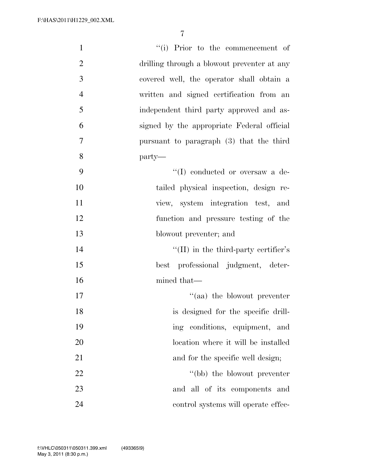| $\mathbf{1}$   | "(i) Prior to the commencement of            |
|----------------|----------------------------------------------|
| $\overline{2}$ | drilling through a blowout preventer at any  |
| 3              | covered well, the operator shall obtain a    |
| $\overline{4}$ | written and signed certification from an     |
| 5              | independent third party approved and as-     |
| 6              | signed by the appropriate Federal official   |
| $\overline{7}$ | pursuant to paragraph (3) that the third     |
| 8              | party—                                       |
| 9              | $\lq\lq$ (I) conducted or oversaw a de-      |
| 10             | tailed physical inspection, design re-       |
| 11             | view, system integration test, and           |
| 12             | function and pressure testing of the         |
| 13             | blowout preventer; and                       |
| 14             | $\lq\lq$ (II) in the third-party certifier's |
| 15             | best professional judgment, deter-           |
| 16             | mined that—                                  |
| 17             | $\cdot$ (aa) the blowout preventer           |
| 18             | is designed for the specific drill-          |
| 19             | ing conditions, equipment, and               |
| 20             | location where it will be installed          |
| 21             | and for the specific well design;            |
| 22             | "(bb) the blowout preventer"                 |
| 23             | and all of its components and                |
| 24             | control systems will operate effec-          |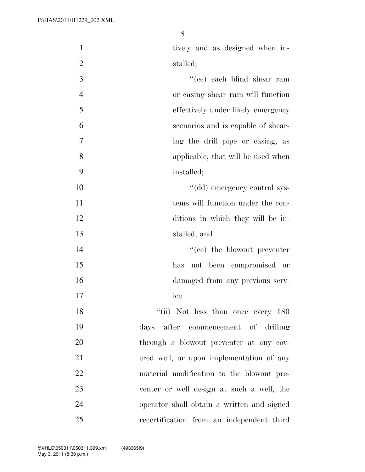| $\mathbf{1}$   | tively and as designed when in-            |
|----------------|--------------------------------------------|
| $\overline{2}$ | stalled;                                   |
| 3              | "(cc) each blind shear ram                 |
| $\overline{4}$ | or casing shear ram will function          |
| 5              | effectively under likely emergency         |
| 6              | scenarios and is capable of shear-         |
| $\overline{7}$ | ing the drill pipe or casing, as           |
| 8              | applicable, that will be used when         |
| 9              | installed;                                 |
| 10             | "(dd) emergency control sys-               |
| 11             | tems will function under the con-          |
| 12             | ditions in which they will be in-          |
| 13             | stalled; and                               |
| 14             | "(ee) the blowout preventer                |
| 15             | has not been compromised or                |
| 16             | damaged from any previous serv-            |
| 17             | ice.                                       |
| 18             | "(ii) Not less than once every $180$       |
| 19             | days after commencement of drilling        |
| 20             | through a blowout preventer at any cov-    |
| 21             | ered well, or upon implementation of any   |
| 22             | material modification to the blowout pre-  |
| 23             | venter or well design at such a well, the  |
| 24             | operator shall obtain a written and signed |
| 25             | recertification from an independent third  |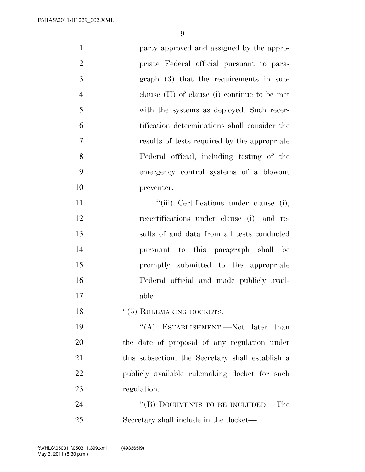| $\mathbf{1}$   | party approved and assigned by the appro-        |
|----------------|--------------------------------------------------|
| $\overline{2}$ | priate Federal official pursuant to para-        |
| 3              | $graph (3) that the requirements in sub-$        |
| $\overline{4}$ | clause $(II)$ of clause $(i)$ continue to be met |
| 5              | with the systems as deployed. Such recer-        |
| 6              | tification determinations shall consider the     |
| 7              | results of tests required by the appropriate     |
| 8              | Federal official, including testing of the       |
| 9              | emergency control systems of a blowout           |
| 10             | preventer.                                       |
| 11             | "(iii) Certifications under clause (i),          |
| 12             | recertifications under clause (i), and re-       |
| 13             | sults of and data from all tests conducted       |
| 14             | pursuant to this paragraph shall<br>be           |
| 15             | promptly submitted to the appropriate            |
| 16             | Federal official and made publicly avail-        |
| 17             | able.                                            |
| 18             | $``(5)$ RULEMAKING DOCKETS.—                     |
| 19             | "(A) ESTABLISHMENT.—Not later than               |
| 20             | the date of proposal of any regulation under     |
| 21             | this subsection, the Secretary shall establish a |
| 22             | publicly available rulemaking docket for such    |
| 23             | regulation.                                      |
| 24             | "(B) DOCUMENTS TO BE INCLUDED.—The               |
| 25             | Secretary shall include in the docket—           |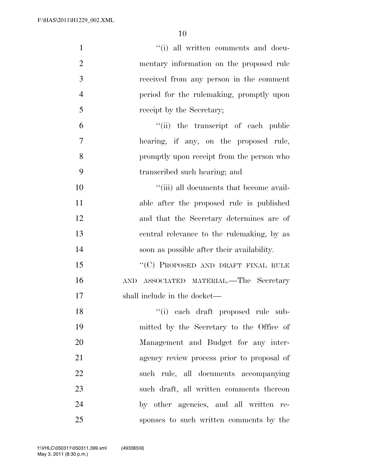| $\mathbf{1}$   | "(i) all written comments and docu-              |
|----------------|--------------------------------------------------|
| $\overline{2}$ | mentary information on the proposed rule         |
| 3              | received from any person in the comment          |
| $\overline{4}$ | period for the rulemaking, promptly upon         |
| 5              | receipt by the Secretary;                        |
| 6              | "(ii) the transcript of each public              |
| 7              | hearing, if any, on the proposed rule,           |
| 8              | promptly upon receipt from the person who        |
| 9              | transcribed such hearing; and                    |
| 10             | "(iii) all documents that become avail-          |
| 11             | able after the proposed rule is published        |
| 12             | and that the Secretary determines are of         |
| 13             | central relevance to the rulemaking, by as       |
| 14             | soon as possible after their availability.       |
| 15             | "(C) PROPOSED AND DRAFT FINAL RULE               |
| 16             | ASSOCIATED MATERIAL.—The Secretary<br><b>AND</b> |
| 17             | shall include in the docket—                     |
| 18             | "(i) each draft proposed rule sub-               |
| 19             | mitted by the Secretary to the Office of         |
| 20             | Management and Budget for any inter-             |
| 21             | agency review process prior to proposal of       |
| 22             | such rule, all documents accompanying            |
| 23             | such draft, all written comments thereon         |
| 24             | by other agencies, and all written re-           |
| 25             | sponses to such written comments by the          |